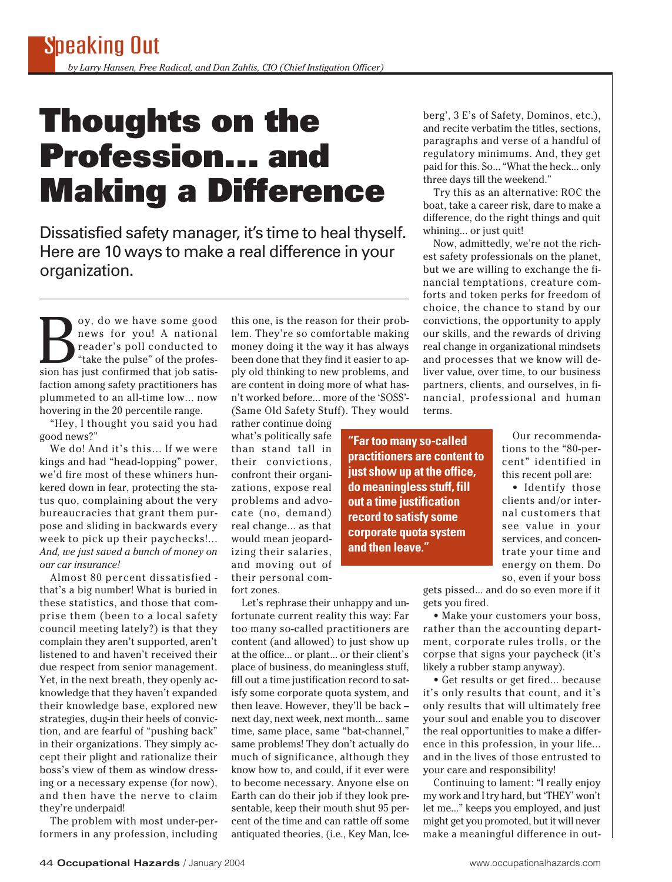## **Thoughts on the Profession... and Making a Difference**

Dissatisfied safety manager, it's time to heal thyself. Here are 10 ways to make a real difference in your organization.

Solve have some good<br>
news for you! A national<br>
reader's poll conducted to<br>
"take the pulse" of the profes-<br>
sion has just confirmed that job satisnews for you! A national reader's poll conducted to "take the pulse" of the profesfaction among safety practitioners has plummeted to an all-time low... now hovering in the 20 percentile range.

"Hey, I thought you said you had good news?"

We do! And it's this... If we were kings and had "head-lopping" power, we'd fire most of these whiners hunkered down in fear, protecting the status quo, complaining about the very bureaucracies that grant them purpose and sliding in backwards every week to pick up their paychecks!... *And, we just saved a bunch of money on our car insurance!*

Almost 80 percent dissatisfied that's a big number! What is buried in these statistics, and those that comprise them (been to a local safety council meeting lately?) is that they complain they aren't supported, aren't listened to and haven't received their due respect from senior management. Yet, in the next breath, they openly acknowledge that they haven't expanded their knowledge base, explored new strategies, dug-in their heels of conviction, and are fearful of "pushing back" in their organizations. They simply accept their plight and rationalize their boss's view of them as window dressing or a necessary expense (for now), and then have the nerve to claim they're underpaid!

The problem with most under-performers in any profession, including this one, is the reason for their problem. They're so comfortable making money doing it the way it has always been done that they find it easier to apply old thinking to new problems, and are content in doing more of what hasn't worked before... more of the 'SOSS'- (Same Old Safety Stuff). They would

rather continue doing what's politically safe than stand tall in their convictions, confront their organizations, expose real problems and advocate (no, demand) real change... as that would mean jeopardizing their salaries, and moving out of their personal comfort zones.

Let's rephrase their unhappy and unfortunate current reality this way: Far too many so-called practitioners are content (and allowed) to just show up at the office... or plant... or their client's place of business, do meaningless stuff, fill out a time justification record to satisfy some corporate quota system, and then leave. However, they'll be back – next day, next week, next month... same time, same place, same "bat-channel," same problems! They don't actually do much of significance, although they know how to, and could, if it ever were to become necessary. Anyone else on Earth can do their job if they look presentable, keep their mouth shut 95 percent of the time and can rattle off some antiquated theories, (i.e., Key Man, Ice-

berg', 3 E's of Safety, Dominos, etc.), and recite verbatim the titles, sections, paragraphs and verse of a handful of regulatory minimums. And, they get paid for this. So... "What the heck... only three days till the weekend."

Try this as an alternative: ROC the boat, take a career risk, dare to make a difference, do the right things and quit whining... or just quit!

Now, admittedly, we're not the richest safety professionals on the planet, but we are willing to exchange the financial temptations, creature comforts and token perks for freedom of choice, the chance to stand by our convictions, the opportunity to apply our skills, and the rewards of driving real change in organizational mindsets and processes that we know will deliver value, over time, to our business partners, clients, and ourselves, in financial, professional and human terms.

**"Far too many so-called practitioners are content to just show up at the office, do meaningless stuff, fill out a time justification record to satisfy some corporate quota system and then leave."**

Our recommendations to the "80-percent" identified in this recent poll are:

• Identify those clients and/or internal customers that see value in your services, and concentrate your time and energy on them. Do so, even if your boss

gets pissed... and do so even more if it gets you fired.

• Make your customers your boss, rather than the accounting department, corporate rules trolls, or the corpse that signs your paycheck (it's likely a rubber stamp anyway).

• Get results or get fired... because it's only results that count, and it's only results that will ultimately free your soul and enable you to discover the real opportunities to make a difference in this profession, in your life... and in the lives of those entrusted to your care and responsibility!

Continuing to lament: "I really enjoy my work and I try hard, but 'THEY' won't let me..." keeps you employed, and just might get you promoted, but it will never make a meaningful difference in out